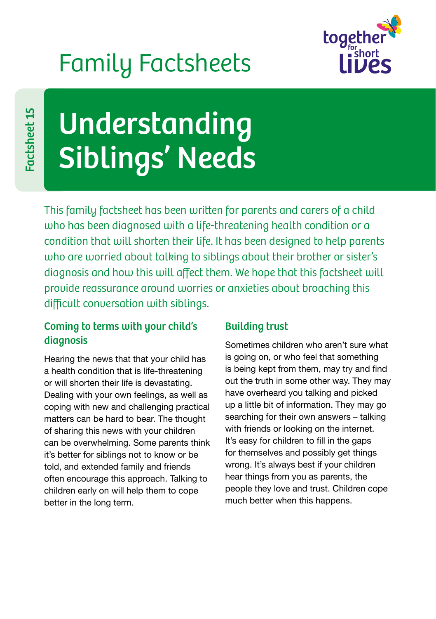## Family Factsheets



# Understanding Siblings' Needs

This family factsheet has been written for parents and carers of a child who has been diagnosed with a life-threatening health condition or a condition that will shorten their life. It has been designed to help parents who are worried about talking to siblings about their brother or sister's diagnosis and how this will affect them. We hope that this factsheet will provide reassurance around worries or anxieties about broaching this difficult conversation with siblings.

## Coming to terms with your child's diagnosis

Hearing the news that that your child has a health condition that is life-threatening or will shorten their life is devastating. Dealing with your own feelings, as well as coping with new and challenging practical matters can be hard to bear. The thought of sharing this news with your children can be overwhelming. Some parents think it's better for siblings not to know or be told, and extended family and friends often encourage this approach. Talking to children early on will help them to cope better in the long term.

## Building trust

Sometimes children who aren't sure what is going on, or who feel that something is being kept from them, may try and find out the truth in some other way. They may have overheard you talking and picked up a little bit of information. They may go searching for their own answers – talking with friends or looking on the internet. It's easy for children to fill in the gaps for themselves and possibly get things wrong. It's always best if your children hear things from you as parents, the people they love and trust. Children cope much better when this happens.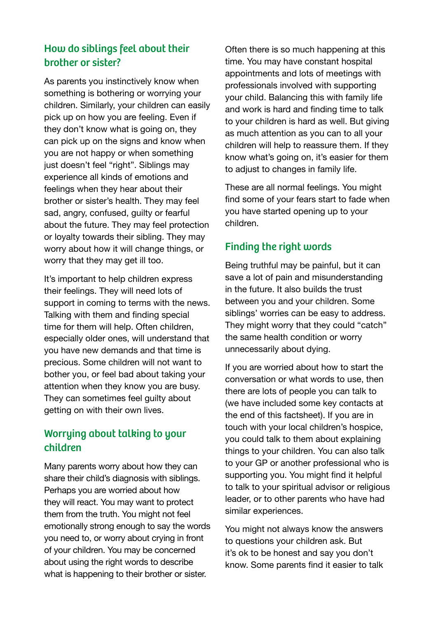## How do siblings feel about their brother or sister?

As parents you instinctively know when something is bothering or worrying your children. Similarly, your children can easily pick up on how you are feeling. Even if they don't know what is going on, they can pick up on the signs and know when you are not happy or when something just doesn't feel "right". Siblings may experience all kinds of emotions and feelings when they hear about their brother or sister's health. They may feel sad, angry, confused, guilty or fearful about the future. They may feel protection or loyalty towards their sibling. They may worry about how it will change things, or worry that they may get ill too.

It's important to help children express their feelings. They will need lots of support in coming to terms with the news. Talking with them and finding special time for them will help. Often children, especially older ones, will understand that you have new demands and that time is precious. Some children will not want to bother you, or feel bad about taking your attention when they know you are busy. They can sometimes feel guilty about getting on with their own lives.

### Worrying about talking to your children

Many parents worry about how they can share their child's diagnosis with siblings. Perhaps you are worried about how they will react. You may want to protect them from the truth. You might not feel emotionally strong enough to say the words you need to, or worry about crying in front of your children. You may be concerned about using the right words to describe what is happening to their brother or sister.

Often there is so much happening at this time. You may have constant hospital appointments and lots of meetings with professionals involved with supporting your child. Balancing this with family life and work is hard and finding time to talk to your children is hard as well. But giving as much attention as you can to all your children will help to reassure them. If they know what's going on, it's easier for them to adjust to changes in family life.

These are all normal feelings. You might find some of your fears start to fade when you have started opening up to your children.

#### Finding the right words

Being truthful may be painful, but it can save a lot of pain and misunderstanding in the future. It also builds the trust between you and your children. Some siblings' worries can be easy to address. They might worry that they could "catch" the same health condition or worry unnecessarily about dying.

If you are worried about how to start the conversation or what words to use, then there are lots of people you can talk to (we have included some key contacts at the end of this factsheet). If you are in touch with your local children's hospice, you could talk to them about explaining things to your children. You can also talk to your GP or another professional who is supporting you. You might find it helpful to talk to your spiritual advisor or religious leader, or to other parents who have had similar experiences.

You might not always know the answers to questions your children ask. But it's ok to be honest and say you don't know. Some parents find it easier to talk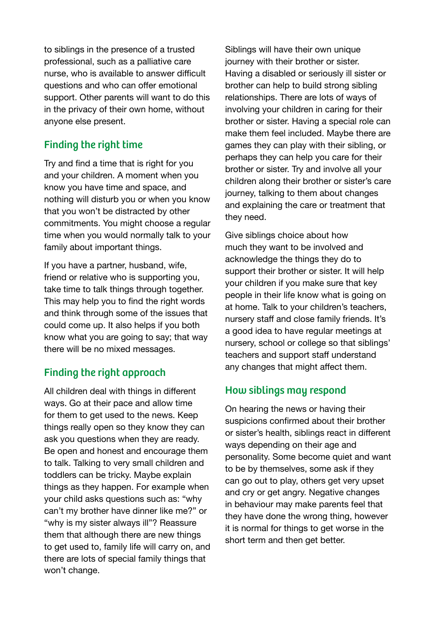to siblings in the presence of a trusted professional, such as a palliative care nurse, who is available to answer difficult questions and who can offer emotional support. Other parents will want to do this in the privacy of their own home, without anyone else present.

## Finding the right time

Try and find a time that is right for you and your children. A moment when you know you have time and space, and nothing will disturb you or when you know that you won't be distracted by other commitments. You might choose a regular time when you would normally talk to your family about important things.

If you have a partner, husband, wife, friend or relative who is supporting you, take time to talk things through together. This may help you to find the right words and think through some of the issues that could come up. It also helps if you both know what you are going to say; that way there will be no mixed messages.

## Finding the right approach

All children deal with things in different ways. Go at their pace and allow time for them to get used to the news. Keep things really open so they know they can ask you questions when they are ready. Be open and honest and encourage them to talk. Talking to very small children and toddlers can be tricky. Maybe explain things as they happen. For example when your child asks questions such as: "why can't my brother have dinner like me?" or "why is my sister always ill"? Reassure them that although there are new things to get used to, family life will carry on, and there are lots of special family things that won't change.

Siblings will have their own unique journey with their brother or sister. Having a disabled or seriously ill sister or brother can help to build strong sibling relationships. There are lots of ways of involving your children in caring for their brother or sister. Having a special role can make them feel included. Maybe there are games they can play with their sibling, or perhaps they can help you care for their brother or sister. Try and involve all your children along their brother or sister's care journey, talking to them about changes and explaining the care or treatment that they need.

Give siblings choice about how much they want to be involved and acknowledge the things they do to support their brother or sister. It will help your children if you make sure that key people in their life know what is going on at home. Talk to your children's teachers, nursery staff and close family friends. It's a good idea to have regular meetings at nursery, school or college so that siblings' teachers and support staff understand any changes that might affect them.

#### How siblings may respond

On hearing the news or having their suspicions confirmed about their brother or sister's health, siblings react in different ways depending on their age and personality. Some become quiet and want to be by themselves, some ask if they can go out to play, others get very upset and cry or get angry. Negative changes in behaviour may make parents feel that they have done the wrong thing, however it is normal for things to get worse in the short term and then get better.